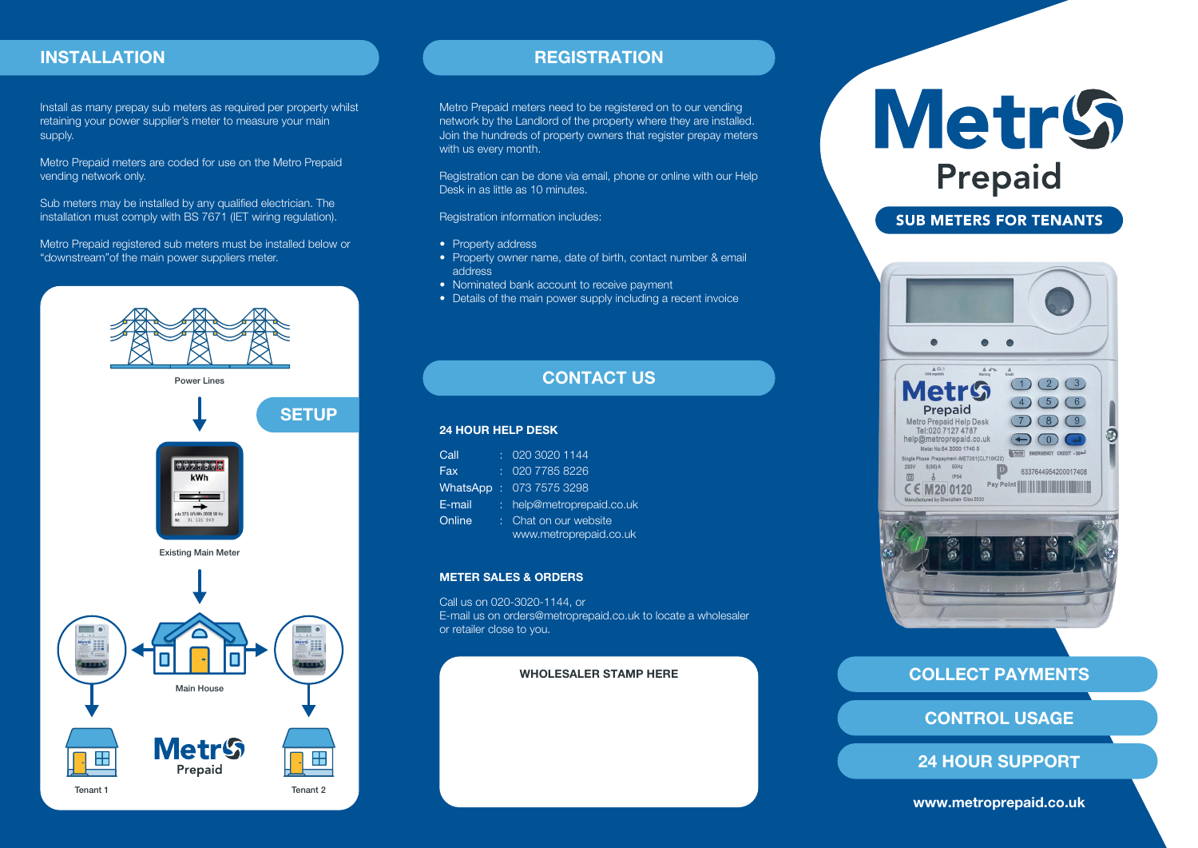#### INSTALLATION

Install as many prepay sub meters as required per property whilst retaining your power supplier's meter to measure your main supply.

Metro Prepaid meters are coded for use on the Metro Prepaid vending network only.

Sub meters may be installed by any qualified electrician. The installation must comply with BS 7671 (IET wiring regulation).

Metro Prepaid registered sub meters must be installed below or "downstream"of the main power suppliers meter.



#### **REGISTRATION**

Metro Prepaid meters need to be registered on to our vending network by the Landlord of the property where they are installed. Join the hundreds of property owners that register prepay meters with us every month.

Registration can be done via email, phone or online with our Help Desk in as little as 10 minutes.

#### Registration information includes:

- Property address
- Property owner name, date of birth, contact number & email address
- Nominated bank account to receive payment
- Details of the main power supply including a recent invoice

### CONTACT US

#### 24 HOUR HELP DESK

| Call          | 020 3020 1144           |
|---------------|-------------------------|
| Fax           | 020 7785 8226           |
| WhatsApp      | : 07375753298           |
| E-mail        | help@metroprepaid.co.uk |
| <u>Online</u> | : Chat on our website   |
|               | www.metroprepaid.co.uk  |

#### METER SALES & ORDERS

Call us on 020-3020-1144, or E-mail us on orders@metroprepaid.co.uk to locate a wholesaler or retailer close to you.

#### WHOLESALER STAMP HERE

# **MetrS** Prepaid

#### **SUB METERS FOR TENANTS**



#### COLLECT PAYMENTS

CONTROL USAGE

24 HOUR SUPPORT

www.metroprepaid.co.uk